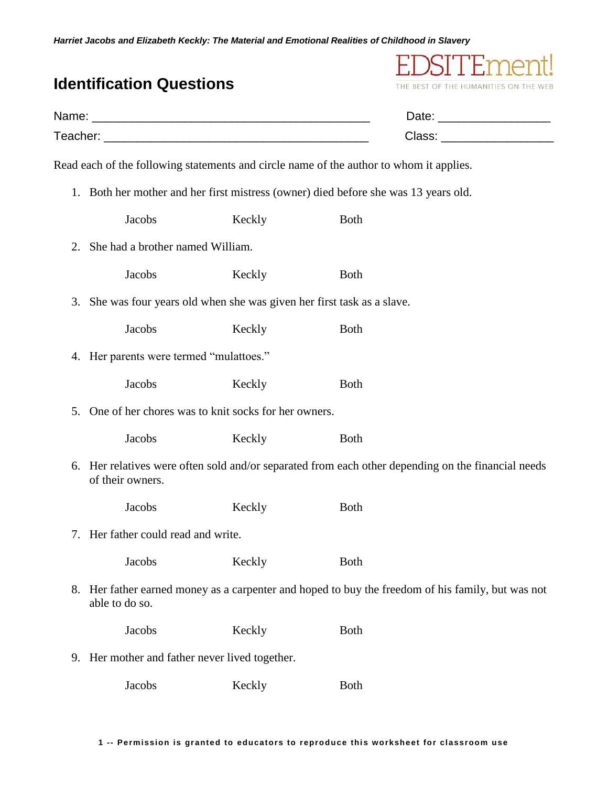|    | <b>Identification Questions</b>                                                                                        |        | THE BEST OF THE HUMANITIES ON THE                                                       |                               |  |
|----|------------------------------------------------------------------------------------------------------------------------|--------|-----------------------------------------------------------------------------------------|-------------------------------|--|
|    |                                                                                                                        |        | Date: _______________________                                                           |                               |  |
|    |                                                                                                                        |        |                                                                                         | Class: ______________________ |  |
|    |                                                                                                                        |        | Read each of the following statements and circle name of the author to whom it applies. |                               |  |
|    | 1. Both her mother and her first mistress (owner) died before she was 13 years old.                                    |        |                                                                                         |                               |  |
|    | Jacobs                                                                                                                 | Keckly | <b>Both</b>                                                                             |                               |  |
| 2. | She had a brother named William.                                                                                       |        |                                                                                         |                               |  |
|    | Jacobs                                                                                                                 | Keckly | <b>Both</b>                                                                             |                               |  |
| 3. | She was four years old when she was given her first task as a slave.                                                   |        |                                                                                         |                               |  |
|    | Jacobs                                                                                                                 | Keckly | <b>Both</b>                                                                             |                               |  |
|    | 4. Her parents were termed "mulattoes."                                                                                |        |                                                                                         |                               |  |
|    | Jacobs                                                                                                                 | Keckly | <b>Both</b>                                                                             |                               |  |
| 5. | One of her chores was to knit socks for her owners.                                                                    |        |                                                                                         |                               |  |
|    | Jacobs                                                                                                                 | Keckly | <b>Both</b>                                                                             |                               |  |
|    | 6. Her relatives were often sold and/or separated from each other depending on the financial needs<br>of their owners. |        |                                                                                         |                               |  |
|    | Jacobs                                                                                                                 | Keckly | <b>Both</b>                                                                             |                               |  |
|    | 7. Her father could read and write.                                                                                    |        |                                                                                         |                               |  |
|    | Jacobs                                                                                                                 | Keckly | <b>Both</b>                                                                             |                               |  |
| 8. | Her father earned money as a carpenter and hoped to buy the freedom of his family, but was not<br>able to do so.       |        |                                                                                         |                               |  |
|    | Jacobs                                                                                                                 | Keckly | <b>Both</b>                                                                             |                               |  |
|    | 9. Her mother and father never lived together.                                                                         |        |                                                                                         |                               |  |
|    | Jacobs                                                                                                                 | Keckly | <b>Both</b>                                                                             |                               |  |